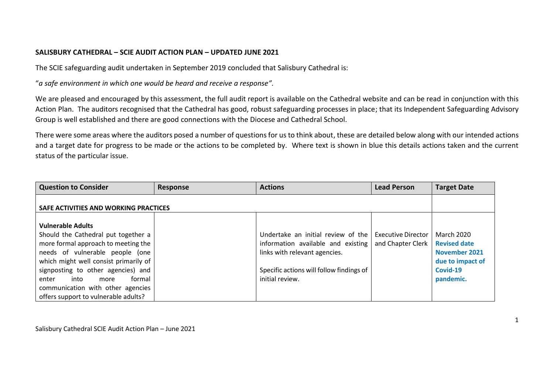## **SALISBURY CATHEDRAL – SCIE AUDIT ACTION PLAN – UPDATED JUNE 2021**

The SCIE safeguarding audit undertaken in September 2019 concluded that Salisbury Cathedral is:

"*a safe environment in which one would be heard and receive a response".*

We are pleased and encouraged by this assessment, the full audit report is available on the Cathedral website and can be read in conjunction with this Action Plan. The auditors recognised that the Cathedral has good, robust safeguarding processes in place; that its Independent Safeguarding Advisory Group is well established and there are good connections with the Diocese and Cathedral School.

There were some areas where the auditors posed a number of questions for us to think about, these are detailed below along with our intended actions and a target date for progress to be made or the actions to be completed by. Where text is shown in blue this details actions taken and the current status of the particular issue.

| <b>Question to Consider</b>           | <b>Response</b> | <b>Actions</b>                           | <b>Lead Person</b>        | <b>Target Date</b>   |
|---------------------------------------|-----------------|------------------------------------------|---------------------------|----------------------|
| SAFE ACTIVITIES AND WORKING PRACTICES |                 |                                          |                           |                      |
|                                       |                 |                                          |                           |                      |
| <b>Vulnerable Adults</b>              |                 |                                          |                           |                      |
| Should the Cathedral put together a   |                 | Undertake an initial review of the       | <b>Executive Director</b> | <b>March 2020</b>    |
| more formal approach to meeting the   |                 | information available and existing       | and Chapter Clerk         | <b>Revised date</b>  |
| needs of vulnerable people (one       |                 | links with relevant agencies.            |                           | <b>November 2021</b> |
| which might well consist primarily of |                 |                                          |                           | due to impact of     |
| signposting to other agencies) and    |                 | Specific actions will follow findings of |                           | Covid-19             |
| formal<br>into<br>enter<br>more       |                 | initial review.                          |                           | pandemic.            |
| communication with other agencies     |                 |                                          |                           |                      |
| offers support to vulnerable adults?  |                 |                                          |                           |                      |

Salisbury Cathedral SCIE Audit Action Plan – June 2021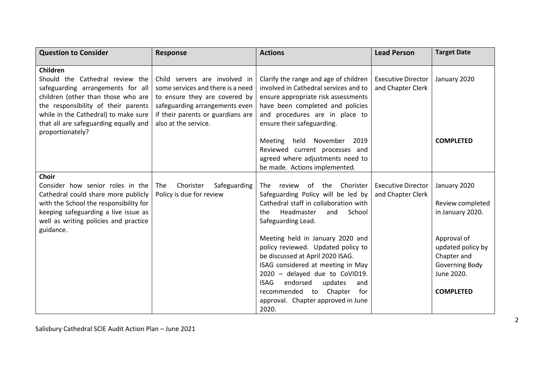| <b>Question to Consider</b>                                                   | <b>Response</b>                                              | <b>Actions</b>                                                                       | <b>Lead Person</b>                             | <b>Target Date</b>           |
|-------------------------------------------------------------------------------|--------------------------------------------------------------|--------------------------------------------------------------------------------------|------------------------------------------------|------------------------------|
| Children                                                                      |                                                              |                                                                                      |                                                |                              |
| Should the Cathedral review the                                               | Child servers are involved in                                | Clarify the range and age of children                                                | <b>Executive Director</b>                      | January 2020                 |
| safeguarding arrangements for all                                             | some services and there is a need                            | involved in Cathedral services and to                                                | and Chapter Clerk                              |                              |
| children (other than those who are                                            | to ensure they are covered by                                | ensure appropriate risk assessments                                                  |                                                |                              |
| the responsibility of their parents                                           | safeguarding arrangements even                               | have been completed and policies                                                     |                                                |                              |
| while in the Cathedral) to make sure<br>that all are safeguarding equally and | if their parents or guardians are<br>also at the service.    | and procedures are in place to<br>ensure their safeguarding.                         |                                                |                              |
| proportionately?                                                              |                                                              |                                                                                      |                                                |                              |
|                                                                               |                                                              | November<br>2019<br><b>Meeting</b><br>held                                           |                                                | <b>COMPLETED</b>             |
|                                                                               |                                                              | Reviewed current processes and                                                       |                                                |                              |
|                                                                               |                                                              | agreed where adjustments need to                                                     |                                                |                              |
|                                                                               |                                                              | be made. Actions implemented.                                                        |                                                |                              |
| <b>Choir</b>                                                                  |                                                              |                                                                                      |                                                |                              |
| Consider how senior roles in the<br>Cathedral could share more publicly       | Chorister<br>Safeguarding<br>The<br>Policy is due for review | the<br>Chorister<br><b>The</b><br>review<br>of<br>Safeguarding Policy will be led by | <b>Executive Director</b><br>and Chapter Clerk | January 2020                 |
| with the School the responsibility for                                        |                                                              | Cathedral staff in collaboration with                                                |                                                | Review completed             |
| keeping safeguarding a live issue as                                          |                                                              | Headmaster<br>School<br>the<br>and                                                   |                                                | in January 2020.             |
| well as writing policies and practice                                         |                                                              | Safeguarding Lead.                                                                   |                                                |                              |
| guidance.                                                                     |                                                              |                                                                                      |                                                |                              |
|                                                                               |                                                              | Meeting held in January 2020 and                                                     |                                                | Approval of                  |
|                                                                               |                                                              | policy reviewed. Updated policy to                                                   |                                                | updated policy by            |
|                                                                               |                                                              | be discussed at April 2020 ISAG.                                                     |                                                | Chapter and                  |
|                                                                               |                                                              | ISAG considered at meeting in May<br>2020 - delayed due to CoVID19.                  |                                                | Governing Body<br>June 2020. |
|                                                                               |                                                              | <b>ISAG</b><br>endorsed<br>updates<br>and                                            |                                                |                              |
|                                                                               |                                                              | recommended to<br>Chapter<br>for                                                     |                                                | <b>COMPLETED</b>             |
|                                                                               |                                                              | approval. Chapter approved in June                                                   |                                                |                              |
|                                                                               |                                                              | 2020.                                                                                |                                                |                              |

Salisbury Cathedral SCIE Audit Action Plan – June 2021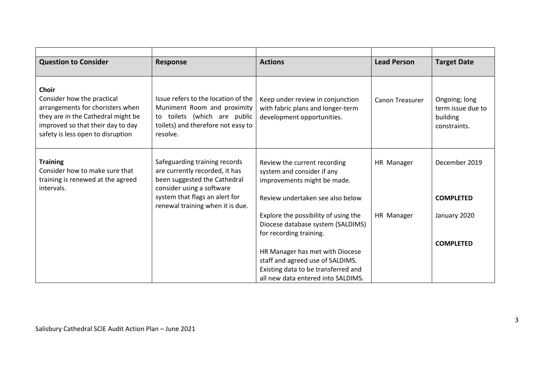| <b>Question to Consider</b>                                                                                                                                                                    | Response                                                                                                                                                | <b>Actions</b>                                                                                       | <b>Lead Person</b> | <b>Target Date</b>                                             |
|------------------------------------------------------------------------------------------------------------------------------------------------------------------------------------------------|---------------------------------------------------------------------------------------------------------------------------------------------------------|------------------------------------------------------------------------------------------------------|--------------------|----------------------------------------------------------------|
|                                                                                                                                                                                                |                                                                                                                                                         |                                                                                                      |                    |                                                                |
| <b>Choir</b><br>Consider how the practical<br>arrangements for choristers when<br>they are in the Cathedral might be<br>improved so that their day to day<br>safety is less open to disruption | Issue refers to the location of the<br>Muniment Room and proximity<br>toilets (which are public<br>to<br>toilets) and therefore not easy to<br>resolve. | Keep under review in conjunction<br>with fabric plans and longer-term<br>development opportunities.  | Canon Treasurer    | Ongoing; long<br>term issue due to<br>building<br>constraints. |
| <b>Training</b><br>Consider how to make sure that                                                                                                                                              | Safeguarding training records<br>are currently recorded, it has                                                                                         | Review the current recording<br>system and consider if any                                           | HR Manager         | December 2019                                                  |
| training is renewed at the agreed<br>intervals.                                                                                                                                                | been suggested the Cathedral<br>consider using a software                                                                                               | improvements might be made.                                                                          |                    |                                                                |
|                                                                                                                                                                                                | system that flags an alert for<br>renewal training when it is due.                                                                                      | Review undertaken see also below                                                                     |                    | <b>COMPLETED</b>                                               |
|                                                                                                                                                                                                |                                                                                                                                                         | Explore the possibility of using the<br>Diocese database system (SALDIMS)<br>for recording training. | HR Manager         | January 2020                                                   |
|                                                                                                                                                                                                |                                                                                                                                                         |                                                                                                      |                    | <b>COMPLETED</b>                                               |
|                                                                                                                                                                                                |                                                                                                                                                         | HR Manager has met with Diocese                                                                      |                    |                                                                |
|                                                                                                                                                                                                |                                                                                                                                                         | staff and agreed use of SALDIMS.                                                                     |                    |                                                                |
|                                                                                                                                                                                                |                                                                                                                                                         | Existing data to be transferred and                                                                  |                    |                                                                |
|                                                                                                                                                                                                |                                                                                                                                                         | all new data entered into SALDIMS.                                                                   |                    |                                                                |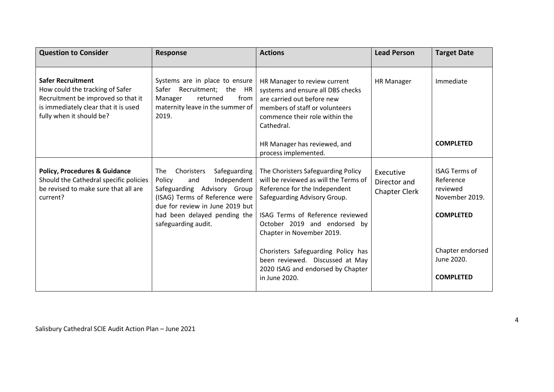| <b>Question to Consider</b>                                                                                                                                           | <b>Response</b>                                                                                                                                                              | <b>Actions</b>                                                                                                                                                                    | <b>Lead Person</b>                         | <b>Target Date</b>                                              |
|-----------------------------------------------------------------------------------------------------------------------------------------------------------------------|------------------------------------------------------------------------------------------------------------------------------------------------------------------------------|-----------------------------------------------------------------------------------------------------------------------------------------------------------------------------------|--------------------------------------------|-----------------------------------------------------------------|
| <b>Safer Recruitment</b><br>How could the tracking of Safer<br>Recruitment be improved so that it<br>is immediately clear that it is used<br>fully when it should be? | Systems are in place to ensure<br>Safer Recruitment; the HR<br>returned<br>Manager<br>from<br>maternity leave in the summer of<br>2019.                                      | HR Manager to review current<br>systems and ensure all DBS checks<br>are carried out before new<br>members of staff or volunteers<br>commence their role within the<br>Cathedral. | <b>HR Manager</b>                          | Immediate                                                       |
|                                                                                                                                                                       |                                                                                                                                                                              | HR Manager has reviewed, and<br>process implemented.                                                                                                                              |                                            | <b>COMPLETED</b>                                                |
| <b>Policy, Procedures &amp; Guidance</b><br>Should the Cathedral specific policies<br>be revised to make sure that all are<br>current?                                | Choristers<br>Safeguarding<br><b>The</b><br>Independent<br>Policy<br>and<br>Safeguarding Advisory Group<br>(ISAG) Terms of Reference were<br>due for review in June 2019 but | The Choristers Safeguarding Policy<br>will be reviewed as will the Terms of<br>Reference for the Independent<br>Safeguarding Advisory Group.                                      | Executive<br>Director and<br>Chapter Clerk | <b>ISAG Terms of</b><br>Reference<br>reviewed<br>November 2019. |
|                                                                                                                                                                       | had been delayed pending the<br>safeguarding audit.                                                                                                                          | ISAG Terms of Reference reviewed<br>October 2019 and endorsed by<br>Chapter in November 2019.                                                                                     |                                            | <b>COMPLETED</b>                                                |
|                                                                                                                                                                       |                                                                                                                                                                              | Choristers Safeguarding Policy has<br>been reviewed. Discussed at May<br>2020 ISAG and endorsed by Chapter                                                                        |                                            | Chapter endorsed<br>June 2020.                                  |
|                                                                                                                                                                       |                                                                                                                                                                              | in June 2020.                                                                                                                                                                     |                                            | <b>COMPLETED</b>                                                |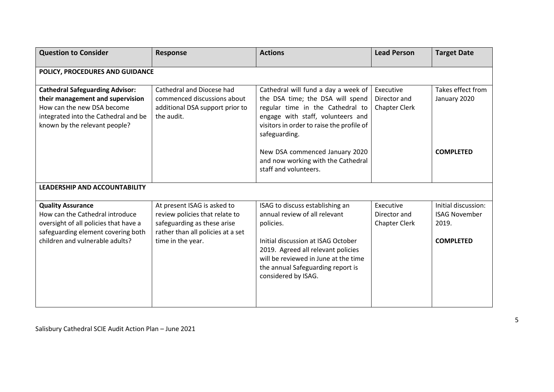| <b>Question to Consider</b>                                                                                                                                                       | <b>Response</b>                                                                                                                                        | <b>Actions</b>                                                                                                                                                                                                                                                                         | <b>Lead Person</b>                                | <b>Target Date</b>                                                       |
|-----------------------------------------------------------------------------------------------------------------------------------------------------------------------------------|--------------------------------------------------------------------------------------------------------------------------------------------------------|----------------------------------------------------------------------------------------------------------------------------------------------------------------------------------------------------------------------------------------------------------------------------------------|---------------------------------------------------|--------------------------------------------------------------------------|
| POLICY, PROCEDURES AND GUIDANCE                                                                                                                                                   |                                                                                                                                                        |                                                                                                                                                                                                                                                                                        |                                                   |                                                                          |
| <b>Cathedral Safeguarding Advisor:</b><br>their management and supervision<br>How can the new DSA become<br>integrated into the Cathedral and be<br>known by the relevant people? | Cathedral and Diocese had<br>commenced discussions about<br>additional DSA support prior to<br>the audit.                                              | Cathedral will fund a day a week of<br>the DSA time; the DSA will spend<br>regular time in the Cathedral to<br>engage with staff, volunteers and<br>visitors in order to raise the profile of<br>safeguarding.<br>New DSA commenced January 2020<br>and now working with the Cathedral | Executive<br>Director and<br><b>Chapter Clerk</b> | Takes effect from<br>January 2020<br><b>COMPLETED</b>                    |
| <b>LEADERSHIP AND ACCOUNTABILITY</b>                                                                                                                                              |                                                                                                                                                        | staff and volunteers.                                                                                                                                                                                                                                                                  |                                                   |                                                                          |
|                                                                                                                                                                                   |                                                                                                                                                        |                                                                                                                                                                                                                                                                                        |                                                   |                                                                          |
| <b>Quality Assurance</b><br>How can the Cathedral introduce<br>oversight of all policies that have a<br>safeguarding element covering both<br>children and vulnerable adults?     | At present ISAG is asked to<br>review policies that relate to<br>safeguarding as these arise<br>rather than all policies at a set<br>time in the year. | ISAG to discuss establishing an<br>annual review of all relevant<br>policies.<br>Initial discussion at ISAG October<br>2019. Agreed all relevant policies<br>will be reviewed in June at the time<br>the annual Safeguarding report is<br>considered by ISAG.                          | Executive<br>Director and<br><b>Chapter Clerk</b> | Initial discussion:<br><b>ISAG November</b><br>2019.<br><b>COMPLETED</b> |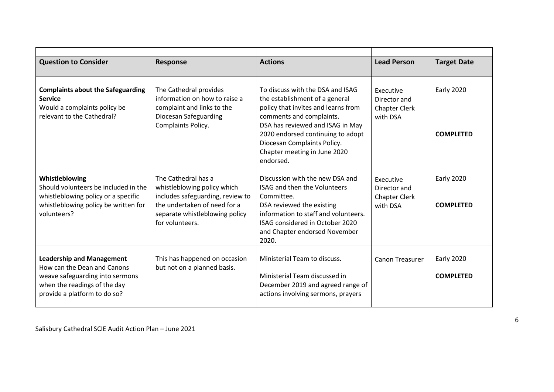| <b>Question to Consider</b>                                                                                                                                        | <b>Response</b>                                                                                                                                                             | <b>Actions</b>                                                                                                                                                                                                                                                                             | <b>Lead Person</b>                                            | <b>Target Date</b>                    |
|--------------------------------------------------------------------------------------------------------------------------------------------------------------------|-----------------------------------------------------------------------------------------------------------------------------------------------------------------------------|--------------------------------------------------------------------------------------------------------------------------------------------------------------------------------------------------------------------------------------------------------------------------------------------|---------------------------------------------------------------|---------------------------------------|
| <b>Complaints about the Safeguarding</b><br><b>Service</b><br>Would a complaints policy be<br>relevant to the Cathedral?                                           | The Cathedral provides<br>information on how to raise a<br>complaint and links to the<br>Diocesan Safeguarding<br>Complaints Policy.                                        | To discuss with the DSA and ISAG<br>the establishment of a general<br>policy that invites and learns from<br>comments and complaints.<br>DSA has reviewed and ISAG in May<br>2020 endorsed continuing to adopt<br>Diocesan Complaints Policy.<br>Chapter meeting in June 2020<br>endorsed. | Executive<br>Director and<br><b>Chapter Clerk</b><br>with DSA | <b>Early 2020</b><br><b>COMPLETED</b> |
| Whistleblowing<br>Should volunteers be included in the<br>whistleblowing policy or a specific<br>whistleblowing policy be written for<br>volunteers?               | The Cathedral has a<br>whistleblowing policy which<br>includes safeguarding, review to<br>the undertaken of need for a<br>separate whistleblowing policy<br>for volunteers. | Discussion with the new DSA and<br><b>ISAG and then the Volunteers</b><br>Committee.<br>DSA reviewed the existing<br>information to staff and volunteers.<br>ISAG considered in October 2020<br>and Chapter endorsed November<br>2020.                                                     | Executive<br>Director and<br><b>Chapter Clerk</b><br>with DSA | <b>Early 2020</b><br><b>COMPLETED</b> |
| <b>Leadership and Management</b><br>How can the Dean and Canons<br>weave safeguarding into sermons<br>when the readings of the day<br>provide a platform to do so? | This has happened on occasion<br>but not on a planned basis.                                                                                                                | Ministerial Team to discuss.<br>Ministerial Team discussed in<br>December 2019 and agreed range of<br>actions involving sermons, prayers                                                                                                                                                   | <b>Canon Treasurer</b>                                        | <b>Early 2020</b><br><b>COMPLETED</b> |